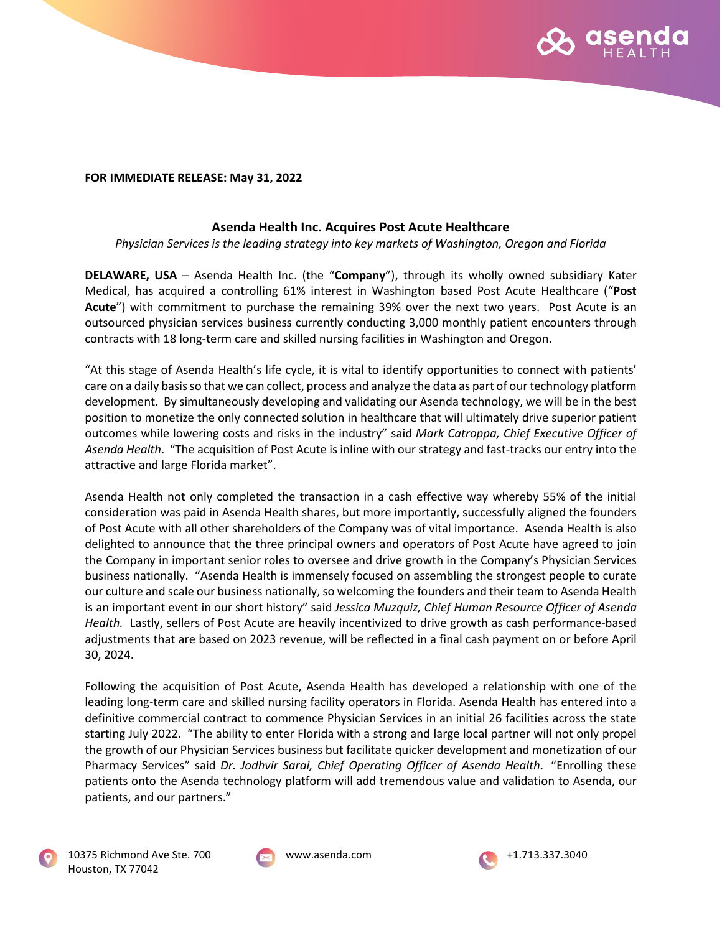

## **FOR IMMEDIATE RELEASE: May 31, 2022**

# **Asenda Health Inc. Acquires Post Acute Healthcare**

*Physician Services is the leading strategy into key markets of Washington, Oregon and Florida*

**DELAWARE, USA** – Asenda Health Inc. (the "**Company**"), through its wholly owned subsidiary Kater Medical, has acquired a controlling 61% interest in Washington based Post Acute Healthcare ("**Post Acute**") with commitment to purchase the remaining 39% over the next two years. Post Acute is an outsourced physician services business currently conducting 3,000 monthly patient encounters through contracts with 18 long-term care and skilled nursing facilities in Washington and Oregon.

"At this stage of Asenda Health's life cycle, it is vital to identify opportunities to connect with patients' care on a daily basis so that we can collect, process and analyze the data as part of our technology platform development. By simultaneously developing and validating our Asenda technology, we will be in the best position to monetize the only connected solution in healthcare that will ultimately drive superior patient outcomes while lowering costs and risks in the industry" said *Mark Catroppa, Chief Executive Officer of Asenda Health*. "The acquisition of Post Acute is inline with our strategy and fast-tracks our entry into the attractive and large Florida market".

Asenda Health not only completed the transaction in a cash effective way whereby 55% of the initial consideration was paid in Asenda Health shares, but more importantly, successfully aligned the founders of Post Acute with all other shareholders of the Company was of vital importance. Asenda Health is also delighted to announce that the three principal owners and operators of Post Acute have agreed to join the Company in important senior roles to oversee and drive growth in the Company's Physician Services business nationally. "Asenda Health is immensely focused on assembling the strongest people to curate our culture and scale our business nationally, so welcoming the founders and their team to Asenda Health is an important event in our short history" said *Jessica Muzquiz, Chief Human Resource Officer of Asenda Health.* Lastly, sellers of Post Acute are heavily incentivized to drive growth as cash performance-based adjustments that are based on 2023 revenue, will be reflected in a final cash payment on or before April 30, 2024.

Following the acquisition of Post Acute, Asenda Health has developed a relationship with one of the leading long-term care and skilled nursing facility operators in Florida. Asenda Health has entered into a definitive commercial contract to commence Physician Services in an initial 26 facilities across the state starting July 2022. "The ability to enter Florida with a strong and large local partner will not only propel the growth of our Physician Services business but facilitate quicker development and monetization of our Pharmacy Services" said *Dr. Jodhvir Sarai, Chief Operating Officer of Asenda Health*. "Enrolling these patients onto the Asenda technology platform will add tremendous value and validation to Asenda, our patients, and our partners."